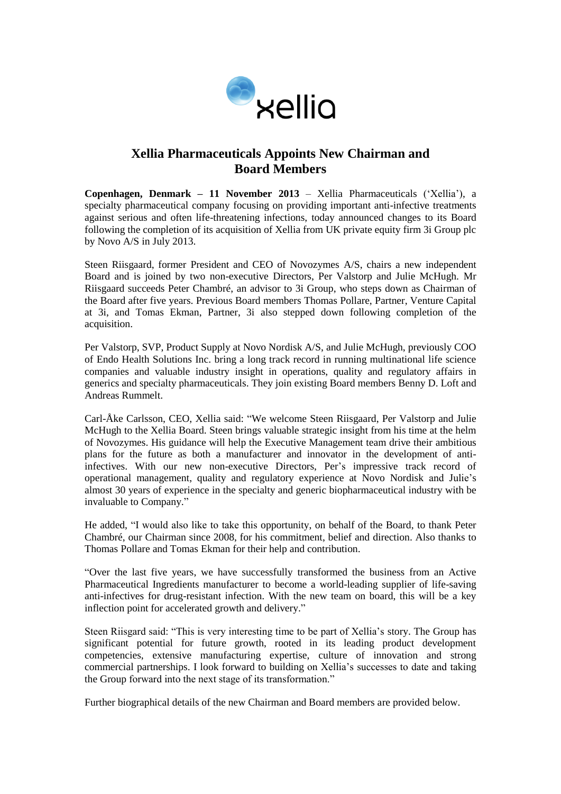

# **Xellia Pharmaceuticals Appoints New Chairman and Board Members**

**Copenhagen, Denmark – 11 November 2013** – Xellia Pharmaceuticals ('Xellia'), a specialty pharmaceutical company focusing on providing important anti-infective treatments against serious and often life-threatening infections, today announced changes to its Board following the completion of its acquisition of Xellia from UK private equity firm 3i Group plc by Novo A/S in July 2013.

Steen Riisgaard, former President and CEO of Novozymes A/S, chairs a new independent Board and is joined by two non-executive Directors, Per Valstorp and Julie McHugh. Mr Riisgaard succeeds Peter Chambré, an advisor to 3i Group, who steps down as Chairman of the Board after five years. Previous Board members Thomas Pollare, Partner, Venture Capital at 3i, and Tomas Ekman, Partner, 3i also stepped down following completion of the acquisition.

Per Valstorp, SVP, Product Supply at Novo Nordisk A/S, and Julie McHugh, previously COO of Endo Health Solutions Inc. bring a long track record in running multinational life science companies and valuable industry insight in operations, quality and regulatory affairs in generics and specialty pharmaceuticals. They join existing Board members Benny D. Loft and Andreas Rummelt.

Carl-Åke Carlsson, CEO, Xellia said: "We welcome Steen Riisgaard, Per Valstorp and Julie McHugh to the Xellia Board. Steen brings valuable strategic insight from his time at the helm of Novozymes. His guidance will help the Executive Management team drive their ambitious plans for the future as both a manufacturer and innovator in the development of antiinfectives. With our new non-executive Directors, Per's impressive track record of operational management, quality and regulatory experience at Novo Nordisk and Julie's almost 30 years of experience in the specialty and generic biopharmaceutical industry with be invaluable to Company."

He added, "I would also like to take this opportunity, on behalf of the Board, to thank Peter Chambré, our Chairman since 2008, for his commitment, belief and direction. Also thanks to Thomas Pollare and Tomas Ekman for their help and contribution.

"Over the last five years, we have successfully transformed the business from an Active Pharmaceutical Ingredients manufacturer to become a world-leading supplier of life-saving anti-infectives for drug-resistant infection. With the new team on board, this will be a key inflection point for accelerated growth and delivery."

Steen Riisgard said: "This is very interesting time to be part of Xellia's story. The Group has significant potential for future growth, rooted in its leading product development competencies, extensive manufacturing expertise, culture of innovation and strong commercial partnerships. I look forward to building on Xellia's successes to date and taking the Group forward into the next stage of its transformation."

Further biographical details of the new Chairman and Board members are provided below.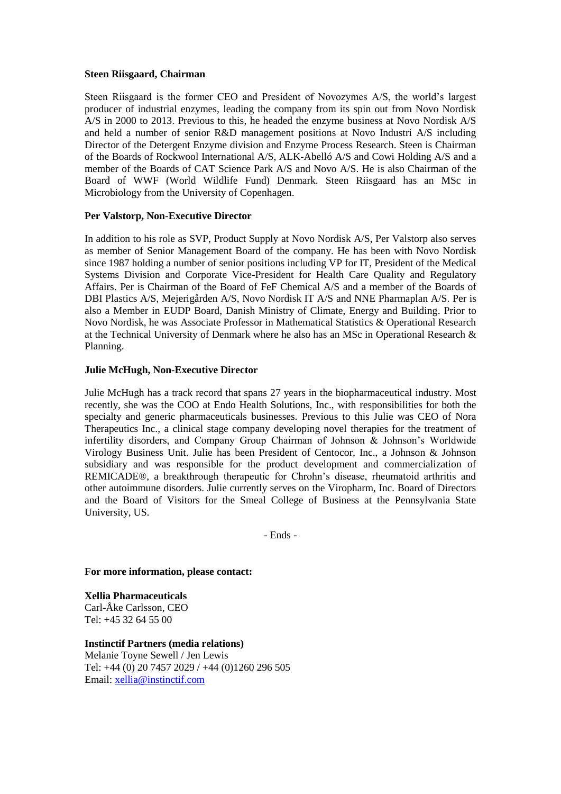### **Steen Riisgaard, Chairman**

Steen Riisgaard is the former CEO and President of Novozymes A/S, the world's largest producer of industrial enzymes, leading the company from its spin out from Novo Nordisk A/S in 2000 to 2013. Previous to this, he headed the enzyme business at Novo Nordisk A/S and held a number of senior R&D management positions at Novo Industri A/S including Director of the Detergent Enzyme division and Enzyme Process Research. Steen is Chairman of the Boards of Rockwool International A/S, ALK-Abelló A/S and Cowi Holding A/S and a member of the Boards of CAT Science Park A/S and Novo A/S. He is also Chairman of the Board of WWF (World Wildlife Fund) Denmark. Steen Riisgaard has an MSc in Microbiology from the University of Copenhagen.

## **Per Valstorp, Non-Executive Director**

In addition to his role as SVP, Product Supply at Novo Nordisk A/S, Per Valstorp also serves as member of Senior Management Board of the company. He has been with Novo Nordisk since 1987 holding a number of senior positions including VP for IT, President of the Medical Systems Division and Corporate Vice-President for Health Care Quality and Regulatory Affairs. Per is Chairman of the Board of FeF Chemical A/S and a member of the Boards of DBI Plastics A/S, Mejerigården A/S, Novo Nordisk IT A/S and NNE Pharmaplan A/S. Per is also a Member in EUDP Board, Danish Ministry of Climate, Energy and Building. Prior to Novo Nordisk, he was Associate Professor in Mathematical Statistics & Operational Research at the Technical University of Denmark where he also has an MSc in Operational Research & Planning.

## **Julie McHugh, Non-Executive Director**

Julie McHugh has a track record that spans 27 years in the biopharmaceutical industry. Most recently, she was the COO at Endo Health Solutions, Inc., with responsibilities for both the specialty and generic pharmaceuticals businesses. Previous to this Julie was CEO of Nora Therapeutics Inc., a clinical stage company developing novel therapies for the treatment of infertility disorders, and Company Group Chairman of Johnson & Johnson's Worldwide Virology Business Unit. Julie has been President of Centocor, Inc., a Johnson & Johnson subsidiary and was responsible for the product development and commercialization of REMICADE®, a breakthrough therapeutic for Chrohn's disease, rheumatoid arthritis and other autoimmune disorders. Julie currently serves on the Viropharm, Inc. Board of Directors and the Board of Visitors for the Smeal College of Business at the Pennsylvania State University, US.

- Ends -

**For more information, please contact:**

**Xellia Pharmaceuticals** Carl-Åke Carlsson, CEO Tel: +45 32 64 55 00

**Instinctif Partners (media relations)**  Melanie Toyne Sewell / Jen Lewis Tel: +44 (0) 20 7457 2029 / +44 (0)1260 296 505 Email: [xellia@instinctif.com](mailto:xellia@instinctif.com)